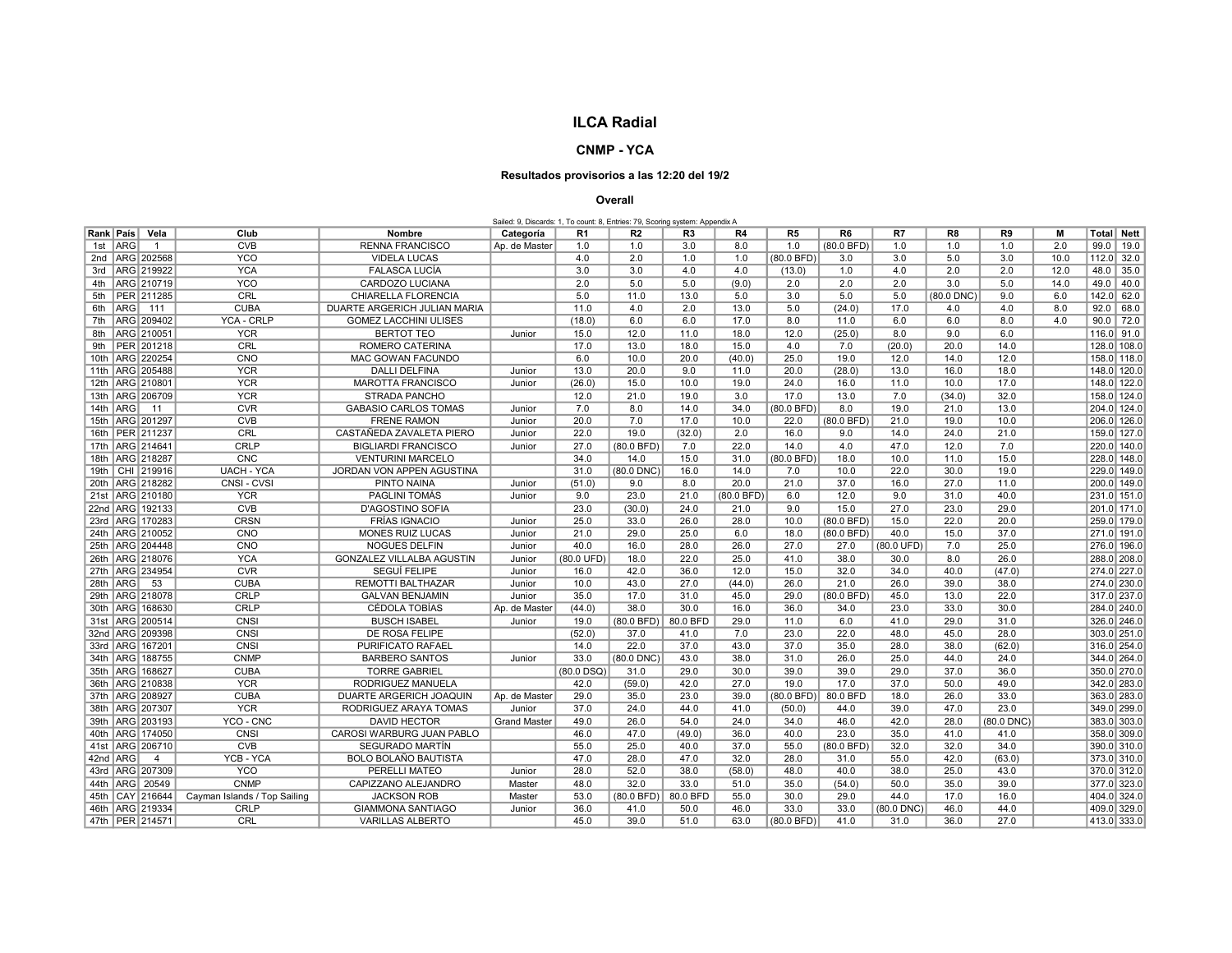## ILCA Radial

## CNMP - YCA

## Resultados provisorios a las 12:20 del 19/2

## Overall

|  |  | Sailed: 9, Discards: 1, To count: 8, Entries: 79, Scoring system: Appendix A |  |
|--|--|------------------------------------------------------------------------------|--|
|  |  |                                                                              |  |

| Rank   País         | Vela                | Club                         | <b>Nombre</b>                | Categoría           | R1           | R <sub>2</sub> | R <sub>3</sub> | R4         | R <sub>5</sub> | R6           | R7           | R <sub>8</sub> | R9         | м    |      | Total   Nett |
|---------------------|---------------------|------------------------------|------------------------------|---------------------|--------------|----------------|----------------|------------|----------------|--------------|--------------|----------------|------------|------|------|--------------|
| 1st   ARG           | $\overline{1}$      | <b>CVB</b>                   | <b>RENNA FRANCISCO</b>       | Ap. de Master       | 1.0          | 1.0            | 3.0            | 8.0        | 1.0            | $(80.0$ BFD) | 1.0          | 1.0            | 1.0        | 2.0  |      | $99.0$ 19.0  |
|                     | 2nd   ARG   202568  | <b>YCO</b>                   | <b>VIDELA LUCAS</b>          |                     | 4.0          | 2.0            | 1.0            | 1.0        | (80.0 BFD)     | 3.0          | 3.0          | 5.0            | 3.0        | 10.0 |      | $112.0$ 32.0 |
|                     | 3rd   ARG   219922  | <b>YCA</b>                   | <b>FALASCA LUCÍA</b>         |                     | 3.0          | 3.0            | 4.0            | 4.0        | (13.0)         | 1.0          | 4.0          | 2.0            | 2.0        | 12.0 |      | $48.0$ 35.0  |
|                     | 4th   ARG   210719  | <b>YCO</b>                   | CARDOZO LUCIANA              |                     | 2.0          | 5.0            | 5.0            | (9.0)      | 2.0            | 2.0          | 2.0          | 3.0            | 5.0        | 14.0 | 49.0 | 40.0         |
|                     | 5th   PER 211285    | CRL                          | CHIARELLA FLORENCIA          |                     | 5.0          | 11.0           | 13.0           | 5.0        | 3.0            | 5.0          | 5.0          | (80.0 DNC)     | 9.0        | 6.0  |      | 142.0 62.0   |
| 6th ARG 111         |                     | <b>CUBA</b>                  | DUARTE ARGERICH JULIAN MARIA |                     | 11.0         | 4.0            | 2.0            | 13.0       | 5.0            | (24.0)       | 17.0         | 4.0            | 4.0        | 8.0  |      | 92.0   68.0  |
|                     | 7th   ARG   209402  | YCA - CRLP                   | <b>GOMEZ LACCHINI ULISES</b> |                     | (18.0)       | 6.0            | 6.0            | 17.0       | 8.0            | 11.0         | 6.0          | 6.0            | 8.0        | 4.0  |      | $90.0$ 72.0  |
|                     | 8th   ARG   210051  | <b>YCR</b>                   | <b>BERTOT TEO</b>            | Junior              | 15.0         | 12.0           | 11.0           | 18.0       | 12.0           | (25.0)       | 8.0          | 9.0            | 6.0        |      |      | 116.0 91.0   |
|                     | 9th   PER 201218    | CRL                          | ROMERO CATERINA              |                     | 17.0         | 13.0           | 18.0           | 15.0       | 4.0            | 7.0          | (20.0)       | 20.0           | 14.0       |      |      | 128.0 108.0  |
|                     | 10th   ARG   220254 | CNO                          | MAC GOWAN FACUNDO            |                     | 6.0          | 10.0           | 20.0           | (40.0)     | 25.0           | 19.0         | 12.0         | 14.0           | 12.0       |      |      | 158.0 118.0  |
|                     | 11th ARG 205488     | <b>YCR</b>                   | <b>DALLI DELFINA</b>         | Junior              | 13.0         | 20.0           | 9.0            | 11.0       | 20.0           | (28.0)       | 13.0         | 16.0           | 18.0       |      |      | 148.0 120.0  |
| 12th   ARG   210801 |                     | <b>YCR</b>                   | <b>MAROTTA FRANCISCO</b>     | Junior              | (26.0)       | 15.0           | 10.0           | 19.0       | 24.0           | 16.0         | 11.0         | 10.0           | 17.0       |      |      | 148.0 122.0  |
|                     | 13th   ARG   206709 | <b>YCR</b>                   | STRADA PANCHO                |                     | 12.0         | 21.0           | 19.0           | 3.0        | 17.0           | 13.0         | 7.0          | (34.0)         | 32.0       |      |      | 158.0 124.0  |
| 14th ARG            | 11                  | <b>CVR</b>                   | <b>GABASIO CARLOS TOMAS</b>  | Junior              | 7.0          | 8.0            | 14.0           | 34.0       | (80.0 BFD)     | 8.0          | 19.0         | 21.0           | 13.0       |      |      | 204.0 124.0  |
| 15th   ARG   201297 |                     | CVB                          | <b>FRENE RAMON</b>           | Junior              | 20.0         | 7.0            | 17.0           | 10.0       | 22.0           | (80.0 BFD)   | 21.0         | 19.0           | 10.0       |      |      | 206.0 126.0  |
| 16th   PER 211237   |                     | CRL                          | CASTAÑEDA ZAVALETA PIERO     | Junior              | 22.0         | 19.0           | (32.0)         | 2.0        | 16.0           | 9.0          | 14.0         | 24.0           | 21.0       |      |      | 159.0 127.0  |
| 17th ARG 214641     |                     | CRLP                         | <b>BIGLIARDI FRANCISCO</b>   | Junior              | 27.0         | (80.0 BFD)     | 7.0            | 22.0       | 14.0           | 4.0          | 47.0         | 12.0           | 7.0        |      |      | 220.0 140.0  |
| 18th ARG 218287     |                     | <b>CNC</b>                   | <b>VENTURINI MARCELO</b>     |                     | 34.0         | 14.0           | 15.0           | 31.0       | (80.0 BFD)     | 18.0         | 10.0         | 11.0           | 15.0       |      |      | 228.0 148.0  |
|                     | 19th   CHI 219916   | <b>UACH - YCA</b>            | JORDAN VON APPEN AGUSTINA    |                     | 31.0         | (80.0 DNC)     | 16.0           | 14.0       | 7.0            | 10.0         | 22.0         | 30.0           | 19.0       |      |      | 229.0 149.0  |
|                     | 20th   ARG   218282 | CNSI-CVSI                    | PINTO NAINA                  | Junior              | (51.0)       | 9.0            | 8.0            | 20.0       | 21.0           | 37.0         | 16.0         | 27.0           | 11.0       |      |      | 200.0 149.0  |
|                     | 21st ARG 210180     | <b>YCR</b>                   | PAGLINI TOMÁS                | Junior              | 9.0          | 23.0           | 21.0           | (80.0 BFD) | 6.0            | 12.0         | 9.0          | 31.0           | 40.0       |      |      | 231.0 151.0  |
|                     | 22nd ARG 192133     | <b>CVB</b>                   | <b>D'AGOSTINO SOFIA</b>      |                     | 23.0         | (30.0)         | 24.0           | 21.0       | 9.0            | 15.0         | 27.0         | 23.0           | 29.0       |      |      | 201.0 171.0  |
|                     | 23rd ARG 170283     | <b>CRSN</b>                  | <b>FRÍAS IGNACIO</b>         | Junior              | 25.0         | 33.0           | 26.0           | 28.0       | 10.0           | (80.0 BFD)   | 15.0         | 22.0           | 20.0       |      |      | 259.0 179.0  |
|                     | 24th ARG 210052     | <b>CNO</b>                   | <b>MONES RUIZ LUCAS</b>      | Junior              | 21.0         | 29.0           | 25.0           | 6.0        | 18.0           | (80.0 BFD)   | 40.0         | 15.0           | 37.0       |      |      | 271.0 191.0  |
|                     | 25th ARG 204448     | <b>CNO</b>                   | NOGUES DELFIN                | Junior              | 40.0         | 16.0           | 28.0           | 26.0       | 27.0           | 27.0         | (80.0 UFD)   | 7.0            | 25.0       |      |      | 276.0 196.0  |
|                     | 26th ARG 218076     | <b>YCA</b>                   | GONZALEZ VILLALBA AGUSTIN    | Junior              | (80.0 UFD)   | 18.0           | 22.0           | 25.0       | 41.0           | 38.0         | 30.0         | 8.0            | 26.0       |      |      | 288.0 208.0  |
|                     | 27th ARG 234954     | <b>CVR</b>                   | SEGUÍ FELIPE                 | Junior              | 16.0         | 42.0           | 36.0           | 12.0       | 15.0           | 32.0         | 34.0         | 40.0           | (47.0)     |      |      | 274.0 227.0  |
| 28th ARG            | 53                  | <b>CUBA</b>                  | <b>REMOTTI BALTHAZAR</b>     | Junior              | 10.0         | 43.0           | 27.0           | (44.0)     | 26.0           | 21.0         | 26.0         | 39.0           | 38.0       |      |      | 274.0 230.0  |
|                     | 29th ARG 218078     | CRLP                         | <b>GALVAN BENJAMIN</b>       | Junior              | 35.0         | 17.0           | 31.0           | 45.0       | 29.0           | (80.0 BFD)   | 45.0         | 13.0           | 22.0       |      |      | 317.0 237.0  |
|                     | 30th   ARG   168630 | <b>CRLP</b>                  | CÉDOLA TOBÍAS                | Ap. de Master       | (44.0)       | 38.0           | 30.0           | 16.0       | 36.0           | 34.0         | 23.0         | 33.0           | 30.0       |      |      | 284.0 240.0  |
|                     | 31st   ARG   200514 | CNSI                         | <b>BUSCH ISABEL</b>          | Junior              | 19.0         | $(80.0$ BFD)   | 80.0 BFD       | 29.0       | 11.0           | 6.0          | 41.0         | 29.0           | 31.0       |      |      | 326.0 246.0  |
|                     | 32nd ARG 209398     | CNSI                         | DE ROSA FELIPE               |                     | (52.0)       | 37.0           | 41.0           | 7.0        | 23.0           | 22.0         | 48.0         | 45.0           | 28.0       |      |      | 303.0 251.0  |
| 33rd   ARG   167201 |                     | CNSI                         | PURIFICATO RAFAEL            |                     | 14.0         | 22.0           | 37.0           | 43.0       | 37.0           | 35.0         | 28.0         | 38.0           | (62.0)     |      |      | 316.0 254.0  |
|                     | 34th   ARG   188755 | <b>CNMP</b>                  | <b>BARBERO SANTOS</b>        | Junior              | 33.0         | (80.0 DNC)     | 43.0           | 38.0       | 31.0           | 26.0         | 25.0         | 44.0           | 24.0       |      |      | 344.0 264.0  |
|                     | 35th ARG 168627     | <b>CUBA</b>                  | <b>TORRE GABRIEL</b>         |                     | $(80.0$ DSQ) | 31.0           | 29.0           | 30.0       | 39.0           | 39.0         | 29.0         | 37.0           | 36.0       |      |      | 350.0 270.0  |
|                     | 36th ARG 210838     | <b>YCR</b>                   | RODRIGUEZ MANUELA            |                     | 42.0         | (59.0)         | 42.0           | 27.0       | 19.0           | 17.0         | 37.0         | 50.0           | 49.0       |      |      | 342.0 283.0  |
| 37th ARG 208927     |                     | <b>CUBA</b>                  | DUARTE ARGERICH JOAQUIN      | Ap. de Master       | 29.0         | 35.0           | 23.0           | 39.0       | (80.0 BFD)     | 80.0 BFD     | 18.0         | 26.0           | 33.0       |      |      | 363.0 283.0  |
| 38th   ARG   207307 |                     | <b>YCR</b>                   | RODRIGUEZ ARAYA TOMAS        | Junior              | 37.0         | 24.0           | 44.0           | 41.0       | (50.0)         | 44.0         | 39.0         | 47.0           | 23.0       |      |      | 349.0 299.0  |
|                     | 39th ARG 203193     | YCO - CNC                    | <b>DAVID HECTOR</b>          | <b>Grand Master</b> | 49.0         | 26.0           | 54.0           | 24.0       | 34.0           | 46.0         | 42.0         | 28.0           | (80.0 DNC) |      |      | 383.0 303.0  |
|                     | 40th   ARG   174050 | CNSI                         | CAROSI WARBURG JUAN PABLO    |                     | 46.0         | 47.0           | (49.0)         | 36.0       | 40.0           | 23.0         | 35.0         | 41.0           | 41.0       |      |      | 358.0 309.0  |
|                     | 41st ARG 206710     | <b>CVB</b>                   | SEGURADO MARTÍN              |                     | 55.0         | 25.0           | 40.0           | 37.0       | 55.0           | (80.0 BFD)   | 32.0         | 32.0           | 34.0       |      |      | 390.0 310.0  |
| 42nd ARG            | $\overline{4}$      | YCB - YCA                    | <b>BOLO BOLAÑO BAUTISTA</b>  |                     | 47.0         | 28.0           | 47.0           | 32.0       | 28.0           | 31.0         | 55.0         | 42.0           | (63.0)     |      |      | 373.0 310.0  |
|                     | 43rd   ARG   207309 | <b>YCO</b>                   | PERELLI MATEO                | Junior              | 28.0         | 52.0           | 38.0           | (58.0)     | 48.0           | 40.0         | 38.0         | 25.0           | 43.0       |      |      | 370.0 312.0  |
| 44th   ARG   20549  |                     | <b>CNMP</b>                  | CAPIZZANO ALEJANDRO          | Master              | 48.0         | 32.0           | 33.0           | 51.0       | 35.0           | (54.0)       | 50.0         | 35.0           | 39.0       |      |      | 377.0 323.0  |
|                     | 45th CAY 216644     | Cayman Islands / Top Sailing | <b>JACKSON ROB</b>           | Master              | 53.0         | (80.0 BFD)     | 80.0 BFD       | 55.0       | 30.0           | 29.0         | 44.0         | 17.0           | 16.0       |      |      | 404.0 324.0  |
|                     | 46th   ARG   219334 | <b>CRLP</b>                  | <b>GIAMMONA SANTIAGO</b>     | Junior              | 36.0         | 41.0           | 50.0           | 46.0       | 33.0           | 33.0         | $(80.0$ DNC) | 46.0           | 44.0       |      |      | 409.0 329.0  |
| 47th PER 214571     |                     | CRL                          | <b>VARILLAS ALBERTO</b>      |                     | 45.0         | 39.0           | 51.0           | 63.0       | (80.0 BFD)     | 41.0         | 31.0         | 36.0           | 27.0       |      |      | 413.0 333.0  |